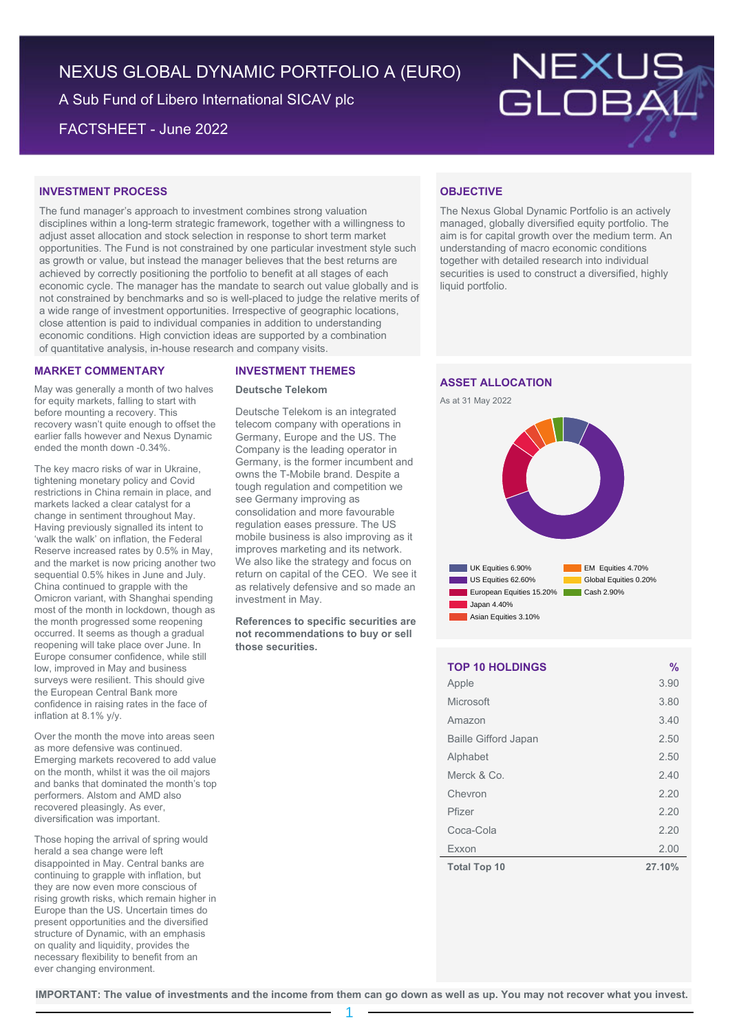# NEXUS GLOBAL DYNAMIC PORTFOLIO A (EURO)

A Sub Fund of Libero International SICAV plc

FACTSHEET - June 2022



# **INVESTMENT PROCESS**

The fund manager's approach to investment combines strong valuation disciplines within a long-term strategic framework, together with a willingness to adjust asset allocation and stock selection in response to short term market opportunities. The Fund is not constrained by one particular investment style such as growth or value, but instead the manager believes that the best returns are achieved by correctly positioning the portfolio to benefit at all stages of each economic cycle. The manager has the mandate to search out value globally and is not constrained by benchmarks and so is well-placed to judge the relative merits of a wide range of investment opportunities. Irrespective of geographic locations, close attention is paid to individual companies in addition to understanding economic conditions. High conviction ideas are supported by a combination of quantitative analysis, in-house research and company visits.

### **MARKET COMMENTARY**

May was generally a month of two halves for equity markets, falling to start with before mounting a recovery. This recovery wasn't quite enough to offset the earlier falls however and Nexus Dynamic ended the month down -0.34%.

The key macro risks of war in Ukraine, tightening monetary policy and Covid restrictions in China remain in place, and markets lacked a clear catalyst for a change in sentiment throughout May. Having previously signalled its intent to 'walk the walk' on inflation, the Federal Reserve increased rates by 0.5% in May, and the market is now pricing another two sequential 0.5% hikes in June and July. China continued to grapple with the Omicron variant, with Shanghai spending most of the month in lockdown, though as the month progressed some reopening occurred. It seems as though a gradual reopening will take place over June. In Europe consumer confidence, while still low, improved in May and business surveys were resilient. This should give the European Central Bank more confidence in raising rates in the face of inflation at 8.1% y/y.

Over the month the move into areas seen as more defensive was continued. Emerging markets recovered to add value on the month, whilst it was the oil majors and banks that dominated the month's top performers. Alstom and AMD also recovered pleasingly. As ever, diversification was important.

Those hoping the arrival of spring would herald a sea change were left disappointed in May. Central banks are continuing to grapple with inflation, but they are now even more conscious of rising growth risks, which remain higher in Europe than the US. Uncertain times do present opportunities and the diversified structure of Dynamic, with an emphasis on quality and liquidity, provides the necessary flexibility to benefit from an ever changing environment.

### **INVESTMENT THEMES**

### **Deutsche Telekom**

Deutsche Telekom is an integrated telecom company with operations in Germany, Europe and the US. The Company is the leading operator in Germany, is the former incumbent and owns the T-Mobile brand. Despite a tough regulation and competition we see Germany improving as consolidation and more favourable regulation eases pressure. The US mobile business is also improving as it improves marketing and its network. We also like the strategy and focus on return on capital of the CEO. We see it as relatively defensive and so made an investment in May.

**References to specific securities are not recommendations to buy or sell those securities.**

## **OBJECTIVE**

The Nexus Global Dynamic Portfolio is an actively managed, globally diversified equity portfolio. The aim is for capital growth over the medium term. An understanding of macro economic conditions together with detailed research into individual securities is used to construct a diversified, highly liquid portfolio.

## **ASSET ALLOCATION**





| <b>TOP 10 HOLDINGS</b>      | $\frac{0}{0}$ |
|-----------------------------|---------------|
| Apple                       | 3.90          |
| Microsoft                   | 3.80          |
| Amazon                      | 3.40          |
| <b>Baille Gifford Japan</b> | 2.50          |
| Alphabet                    | 2.50          |
| Merck & Co.                 | 2.40          |
| Chevron                     | 2.20          |
| Pfizer                      | 2.20          |
| Coca-Cola                   | 2.20          |
| Exxon                       | 2.00          |
| <b>Total Top 10</b>         | 27.10%        |

**IMPORTANT: The value of investments and the income from them can go down as well as up. You may not recover what you invest.**